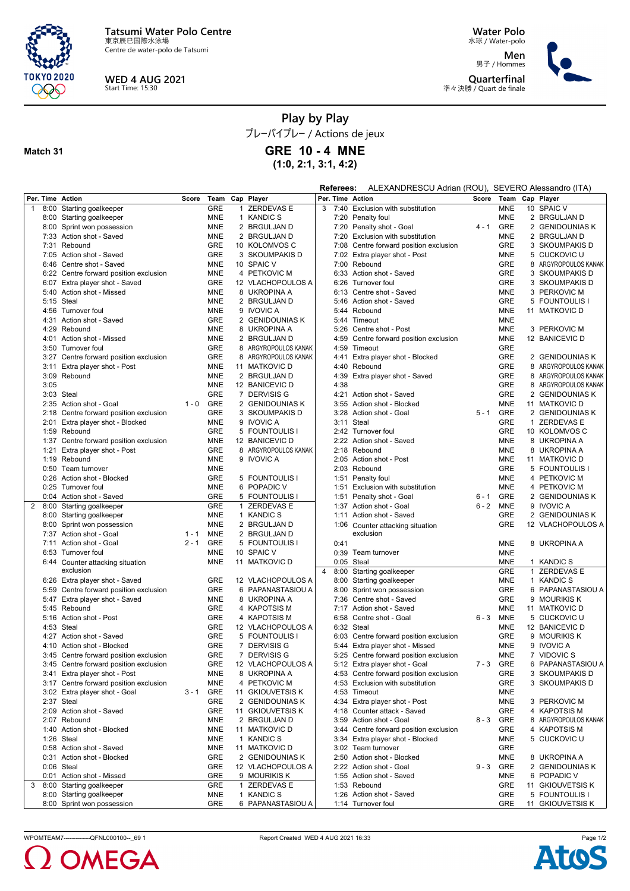

Centre de water-polo de Tatsumi



**Water Polo** 水球 / Water-polo

**Men** 男子 / Hommes **Quarterfinal** 準々決勝 / Quart de finale



## **Play by Play**

プレーバイプレー / Actions de jeux **GRE 10 - 4 MNE**

**(1:0, 2:1, 3:1, 4:2)**

## **Match 31**

**Referees:** ALEXANDRESCU Adrian (ROU), SEVERO Alessandro (ITA)

|                |      | Per. Time Action                       | Score   | Team       | Cap Player           |                |      | Per. Time Action                              | Score   | Team       |   | Cap Player           |
|----------------|------|----------------------------------------|---------|------------|----------------------|----------------|------|-----------------------------------------------|---------|------------|---|----------------------|
| $\mathbf{1}$   |      | 8:00 Starting goalkeeper               |         | <b>GRE</b> | 1 ZERDEVAS E         | 3              | 7:40 | Exclusion with substitution                   |         | <b>MNE</b> |   | 10 SPAIC V           |
|                |      | 8:00 Starting goalkeeper               |         | <b>MNE</b> | 1 KANDIC S           |                |      | 7:20 Penalty foul                             |         | <b>MNE</b> |   | 2 BRGULJAN D         |
|                |      | 8:00 Sprint won possession             |         | <b>MNE</b> | 2 BRGULJAN D         |                |      | 7:20 Penalty shot - Goal                      | $4 - 1$ | GRE        |   | 2 GENIDOUNIAS K      |
|                |      | 7:33 Action shot - Saved               |         | <b>MNE</b> | 2 BRGULJAN D         |                | 7:20 | Exclusion with substitution                   |         | <b>MNE</b> |   | 2 BRGULJAN D         |
|                |      | 7:31 Rebound                           |         | <b>GRE</b> | 10 KOLOMVOS C        |                | 7:08 | Centre forward position exclusion             |         | <b>GRE</b> |   | 3 SKOUMPAKIS D       |
|                |      | 7:05 Action shot - Saved               |         | <b>GRE</b> | 3 SKOUMPAKIS D       |                |      | 7:02 Extra player shot - Post                 |         | <b>MNE</b> |   | 5 CUCKOVIC U         |
|                |      | 6:46 Centre shot - Saved               |         | <b>MNE</b> | 10 SPAIC V           |                |      | 7:00 Rebound                                  |         | <b>GRE</b> |   | 8 ARGYROPOULOS KANAK |
|                |      | 6:22 Centre forward position exclusion |         | <b>MNE</b> | 4 PETKOVIC M         |                |      | 6:33 Action shot - Saved                      |         | <b>GRE</b> |   | 3 SKOUMPAKIS D       |
|                |      |                                        |         |            |                      |                |      |                                               |         |            |   |                      |
|                |      | 6:07 Extra player shot - Saved         |         | <b>GRE</b> | 12 VLACHOPOULOS A    |                |      | 6:26 Turnover foul                            |         | <b>GRE</b> |   | 3 SKOUMPAKIS D       |
|                |      | 5:40 Action shot - Missed              |         | <b>MNE</b> | 8 UKROPINA A         |                |      | 6:13 Centre shot - Saved                      |         | <b>MNE</b> |   | 3 PERKOVIC M         |
|                |      | 5:15 Steal                             |         | <b>MNE</b> | 2 BRGULJAN D         |                |      | 5:46 Action shot - Saved                      |         | <b>GRE</b> |   | 5 FOUNTOULIS I       |
|                |      | 4:56 Turnover foul                     |         | MNE        | 9 IVOVIC A           |                |      | 5:44 Rebound                                  |         | <b>MNE</b> |   | 11 MATKOVIC D        |
|                |      | 4:31 Action shot - Saved               |         | <b>GRE</b> | 2 GENIDOUNIAS K      |                | 5:44 | Timeout                                       |         | <b>MNE</b> |   |                      |
|                |      | 4:29 Rebound                           |         | <b>MNE</b> | 8 UKROPINA A         |                |      | 5:26 Centre shot - Post                       |         | <b>MNE</b> |   | 3 PERKOVIC M         |
|                |      | 4:01 Action shot - Missed              |         | <b>MNE</b> | 2 BRGULJAN D         |                | 4:59 | Centre forward position exclusion             |         | <b>MNE</b> |   | 12 BANICEVIC D       |
|                |      | 3:50 Turnover foul                     |         | <b>GRE</b> | 8 ARGYROPOULOS KANAK |                |      | 4:59 Timeout                                  |         | <b>GRE</b> |   |                      |
|                |      | 3:27 Centre forward position exclusion |         | <b>GRE</b> | 8 ARGYROPOULOS KANAK |                | 4:41 | Extra player shot - Blocked                   |         | <b>GRE</b> |   | 2 GENIDOUNIAS K      |
|                |      | 3:11 Extra player shot - Post          |         | MNE        | 11 MATKOVIC D        |                |      | 4:40 Rebound                                  |         | <b>GRE</b> |   | 8 ARGYROPOULOS KANAK |
|                |      | 3:09 Rebound                           |         | <b>MNE</b> | 2 BRGULJAN D         |                | 4:39 | Extra player shot - Saved                     |         | <b>GRE</b> |   | 8 ARGYROPOULOS KANAK |
|                | 3:05 |                                        |         | <b>MNE</b> | 12 BANICEVIC D       |                | 4:38 |                                               |         | GRE        | 8 | ARGYROPOULOS KANAK   |
|                |      | 3:03 Steal                             |         | <b>GRE</b> | 7 DERVISIS G         |                |      | 4:21 Action shot - Saved                      |         | <b>GRE</b> |   | 2 GENIDOUNIAS K      |
|                |      | 2:35 Action shot - Goal                | $1 - 0$ | GRE        | 2 GENIDOUNIAS K      |                |      | 3:55 Action shot - Blocked                    |         | <b>MNE</b> |   | 11 MATKOVIC D        |
|                |      |                                        |         |            |                      |                |      |                                               |         |            |   |                      |
|                |      | 2:18 Centre forward position exclusion |         | <b>GRE</b> | 3 SKOUMPAKIS D       |                |      | 3:28 Action shot - Goal                       | $5 - 1$ | <b>GRE</b> |   | 2 GENIDOUNIAS K      |
|                | 2:01 | Extra player shot - Blocked            |         | <b>MNE</b> | 9 IVOVIC A           |                | 3:11 | Steal                                         |         | <b>GRE</b> |   | 1 ZERDEVAS E         |
|                |      | 1:59 Rebound                           |         | <b>GRE</b> | 5 FOUNTOULIS I       |                |      | 2:42 Turnover foul                            |         | <b>GRE</b> |   | 10 KOLOMVOS C        |
|                |      | 1:37 Centre forward position exclusion |         | <b>MNE</b> | 12 BANICEVIC D       |                |      | 2:22 Action shot - Saved                      |         | <b>MNE</b> |   | 8 UKROPINA A         |
|                | 1:21 | Extra player shot - Post               |         | <b>GRE</b> | 8 ARGYROPOULOS KANAK |                |      | 2:18 Rebound                                  |         | <b>MNE</b> |   | 8 UKROPINA A         |
|                |      | 1:19 Rebound                           |         | <b>MNE</b> | 9 IVOVIC A           |                |      | 2:05 Action shot - Post                       |         | <b>MNE</b> |   | 11 MATKOVIC D        |
|                |      | 0:50 Team turnover                     |         | <b>MNE</b> |                      |                |      | 2:03 Rebound                                  |         | <b>GRE</b> |   | 5 FOUNTOULIS I       |
|                |      | 0:26 Action shot - Blocked             |         | <b>GRE</b> | 5 FOUNTOULIS I       |                | 1:51 | Penalty foul                                  |         | <b>MNE</b> |   | 4 PETKOVIC M         |
|                |      | 0:25 Turnover foul                     |         | <b>MNE</b> | 6 POPADIC V          |                | 1:51 | Exclusion with substitution                   |         | <b>MNE</b> |   | 4 PETKOVIC M         |
|                |      | 0:04 Action shot - Saved               |         | <b>GRE</b> | 5 FOUNTOULIS I       |                | 1:51 | Penalty shot - Goal                           | $6 - 1$ | <b>GRE</b> |   | 2 GENIDOUNIAS K      |
| $\overline{2}$ |      | 8:00 Starting goalkeeper               |         | <b>GRE</b> | 1 ZERDEVAS E         |                |      | 1:37 Action shot - Goal                       | $6 - 2$ | <b>MNE</b> |   | 9 IVOVIC A           |
|                |      | 8:00 Starting goalkeeper               |         | <b>MNE</b> | 1 KANDIC S           |                | 1:11 | Action shot - Saved                           |         | <b>GRE</b> |   | 2 GENIDOUNIAS K      |
|                |      |                                        |         | <b>MNE</b> |                      |                |      |                                               |         | <b>GRE</b> |   |                      |
|                |      | 8:00 Sprint won possession             |         |            | 2 BRGULJAN D         |                |      | 1:06 Counter attacking situation<br>exclusion |         |            |   | 12 VLACHOPOULOS A    |
|                |      | 7:37 Action shot - Goal                | $1 - 1$ | MNE        | 2 BRGULJAN D         |                |      |                                               |         |            |   |                      |
|                |      | 7:11 Action shot - Goal                | $2 - 1$ | GRE        | 5 FOUNTOULIS I       |                | 0:41 |                                               |         | <b>MNE</b> |   | 8 UKROPINA A         |
|                |      | 6:53 Turnover foul                     |         | <b>MNE</b> | 10 SPAIC V           |                | 0:39 | Team turnover                                 |         | <b>MNE</b> |   |                      |
|                |      | 6:44 Counter attacking situation       |         | <b>MNE</b> | 11 MATKOVIC D        |                |      | $0:05$ Steal                                  |         | <b>MNE</b> |   | 1 KANDIC S           |
|                |      | exclusion                              |         |            |                      | $\overline{4}$ |      | 8:00 Starting goalkeeper                      |         | <b>GRE</b> |   | 1 ZERDEVAS E         |
|                |      | 6:26 Extra player shot - Saved         |         | GRE        | 12 VLACHOPOULOS A    |                |      | 8:00 Starting goalkeeper                      |         | <b>MNE</b> |   | 1 KANDIC S           |
|                |      | 5:59 Centre forward position exclusion |         | GRE        | 6 PAPANASTASIOU A    |                |      | 8:00 Sprint won possession                    |         | <b>GRE</b> |   | 6 PAPANASTASIOU A    |
|                |      | 5:47 Extra player shot - Saved         |         | <b>MNE</b> | 8 UKROPINA A         |                | 7:36 | Centre shot - Saved                           |         | <b>GRE</b> |   | 9 Mourikis K         |
|                |      | 5:45 Rebound                           |         | <b>GRE</b> | 4 KAPOTSIS M         |                |      | 7:17 Action shot - Saved                      |         | <b>MNE</b> |   | 11 MATKOVIC D        |
|                |      | 5:16 Action shot - Post                |         | <b>GRE</b> | 4 KAPOTSIS M         |                | 6:58 | Centre shot - Goal                            | $6 - 3$ | <b>MNE</b> |   | 5 CUCKOVIC U         |
|                |      | 4:53 Steal                             |         | <b>GRE</b> | 12 VLACHOPOULOS A    |                |      | 6:32 Steal                                    |         | <b>MNE</b> |   | 12 BANICEVIC D       |
|                |      | 4:27 Action shot - Saved               |         | GRE        | 5 FOUNTOULIS I       |                | 6:03 | Centre forward position exclusion             |         | <b>GRE</b> |   | 9 Mourikis K         |
|                |      | 4:10 Action shot - Blocked             |         | <b>GRE</b> | 7 DERVISIS G         |                |      | 5:44 Extra player shot - Missed               |         | MNE        |   | 9 IVOVIC A           |
|                |      | 3:45 Centre forward position exclusion |         | GRE        | 7 DERVISIS G         |                |      | 5:25 Centre forward position exclusion        |         | <b>MNE</b> |   | 7 VIDOVIC S          |
|                |      | 3:45 Centre forward position exclusion |         | <b>GRE</b> | 12 VLACHOPOULOS A    |                |      | 5:12 Extra player shot - Goal                 | $7 - 3$ | <b>GRE</b> |   | 6 PAPANASTASIOU A    |
|                |      |                                        |         |            |                      |                |      |                                               |         |            |   |                      |
|                |      | 3:41 Extra player shot - Post          |         | MNE        | 8 UKROPINA A         |                |      | 4:53 Centre forward position exclusion        |         | GRE        |   | 3 SKOUMPAKIS D       |
|                |      | 3:17 Centre forward position exclusion |         | <b>MNE</b> | 4 PETKOVIC M         |                |      | 4:53 Exclusion with substitution              |         | <b>GRE</b> |   | 3 SKOUMPAKIS D       |
|                |      | 3:02 Extra player shot - Goal          | 3 - 1   | <b>GRE</b> | 11 GKIOUVETSIS K     |                |      | 4:53 Timeout                                  |         | <b>MNE</b> |   |                      |
|                |      | 2:37 Steal                             |         | GRE        | 2 GENIDOUNIAS K      |                |      | 4:34 Extra player shot - Post                 |         | <b>MNE</b> |   | 3 PERKOVIC M         |
|                |      | 2:09 Action shot - Saved               |         | GRE        | 11 GKIOUVETSIS K     |                |      | 4:18 Counter attack - Saved                   |         | GRE        |   | 4 KAPOTSIS M         |
|                |      | 2:07 Rebound                           |         | <b>MNE</b> | 2 BRGULJAN D         |                |      | 3:59 Action shot - Goal                       | 8 - 3   | GRE        |   | 8 ARGYROPOULOS KANAK |
|                |      | 1:40 Action shot - Blocked             |         | MNE        | 11 MATKOVIC D        |                |      | 3:44 Centre forward position exclusion        |         | GRE        |   | 4 KAPOTSIS M         |
|                |      | 1:26 Steal                             |         | <b>MNE</b> | 1 KANDIC S           |                |      | 3:34 Extra player shot - Blocked              |         | <b>MNE</b> |   | 5 CUCKOVIC U         |
|                |      | 0:58 Action shot - Saved               |         | MNE        | 11 MATKOVIC D        |                |      | 3:02 Team turnover                            |         | GRE        |   |                      |
|                |      | 0:31 Action shot - Blocked             |         | GRE        | 2 GENIDOUNIAS K      |                |      | 2:50 Action shot - Blocked                    |         | <b>MNE</b> |   | 8 UKROPINA A         |
|                |      | 0:06 Steal                             |         | GRE        | 12 VLACHOPOULOS A    |                |      | 2:22 Action shot - Goal                       | $9 - 3$ | GRE        |   | 2 GENIDOUNIAS K      |
|                |      | 0:01 Action shot - Missed              |         | GRE        | 9 MOURIKIS K         |                |      | 1:55 Action shot - Saved                      |         | <b>MNE</b> |   | 6 POPADIC V          |
| 3              |      | 8:00 Starting goalkeeper               |         | GRE        | 1 ZERDEVAS E         |                |      | 1:53 Rebound                                  |         | GRE        |   | 11 GKIOUVETSIS K     |
|                |      |                                        |         | <b>MNE</b> | 1 KANDIC S           |                |      | 1:26 Action shot - Saved                      |         | GRE        |   | 5 FOUNTOULIS I       |
|                |      | 8:00 Starting goalkeeper               |         |            |                      |                |      |                                               |         |            |   |                      |
|                |      | 8:00 Sprint won possession             |         | <b>GRE</b> | 6 PAPANASTASIOU A    |                |      | 1:14 Turnover foul                            |         | <b>GRE</b> |   | 11 GKIOUVETSIS K     |

WPOMTEAM7-------------QFNL000100--\_69 1 Report Created WED 4 AUG 2021 16:33